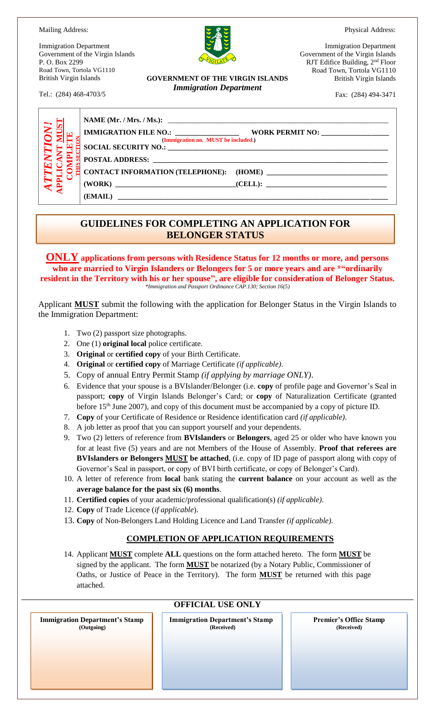Physical Address:

Mailing Address:

Immigration Department Government of the Virgin Islands P. O. Box 2299 Road Town, Tortola VG1110 British Virgin Islands

Tel.: (284) 468-4703/5

**GOVERNMENT OF THE VIRGIN ISLANDS** *Immigration Department*

Immigration Department Government of the Virgin Islands RJT Edifice Building, 2nd Floor Road Town, Tortola VG1110 British Virgin Islands

Fax: (284) 494-3471

| N!<br>$\mathbf{E}$ | (Immigration no. MUST be included.)        |  |
|--------------------|--------------------------------------------|--|
|                    | $\Xi$ SOCIAL SECURITY NO.: $\qquad \qquad$ |  |
|                    |                                            |  |
|                    | $(WORK)$ (CELL):                           |  |
|                    |                                            |  |

## **GUIDELINES FOR COMPLETING AN APPLICATION FOR BELONGER STATUS**

**ONLY applications from persons with Residence Status for 12 months or more, and persons who are married to Virgin Islanders or Belongers for 5 or more years and are \*"ordinarily resident in the Territory with his or her spouse", are eligible for consideration of Belonger Status.**  *\*Immigration and Passport Ordinance CAP.130; Section 16(5)*

Applicant **MUST** submit the following with the application for Belonger Status in the Virgin Islands to the Immigration Department:

- 1. Two (2) passport size photographs.
- 2. One (1) **original local** police certificate.
- 3. **Original** or **certified copy** of your Birth Certificate.
- 4. **Original** or **certified copy** of Marriage Certificate *(if applicable)*.
- 5. Copy of annual Entry Permit Stamp *(if applying by marriage ONLY)*.
- 6. Evidence that your spouse is a BVIslander/Belonger (i.e. **copy** of profile page and Governor's Seal in passport; **copy** of Virgin Islands Belonger's Card; or **copy** of Naturalization Certificate (granted before 15<sup>th</sup> June 2007), and copy of this document must be accompanied by a copy of picture ID.
- 7. **Copy** of your Certificate of Residence or Residence identification card *(if applicable)*.
- 8. A job letter as proof that you can support yourself and your dependents.
- 9. Two (2) letters of reference from **BVIslanders** or **Belongers**, aged 25 or older who have known you for at least five (5) years and are not Members of the House of Assembly. **Proof that referees are BVIslanders or Belongers MUST be attached**, (i.e. copy of ID page of passport along with copy of Governor's Seal in passport, or copy of BVI birth certificate, or copy of Belonger's Card).
- 10. A letter of reference from **local** bank stating the **current balance** on your account as well as the **average balance for the past six (6) months**.
- 11. **Certified copies** of your academic/professional qualification(s) *(if applicable)*.
- 12. **Copy** of Trade Licence (*if applicable*).
- 13. **Copy** of Non-Belongers Land Holding Licence and Land Transfer *(if applicable)*.

### **COMPLETION OF APPLICATION REQUIREMENTS**

14. Applicant **MUST** complete **ALL** questions on the form attached hereto. The form **MUST** be signed by the applicant. The form **MUST** be notarized (by a Notary Public, Commissioner of Oaths, or Justice of Peace in the Territory). The form **MUST** be returned with this page attached.

 **Immigration Department's Stamp (Outgoing)**

**Immigration Department's Stamp**

**OFFICIAL USE ONLY**

**Premier's Office Stamp (Received)**

**(Received)**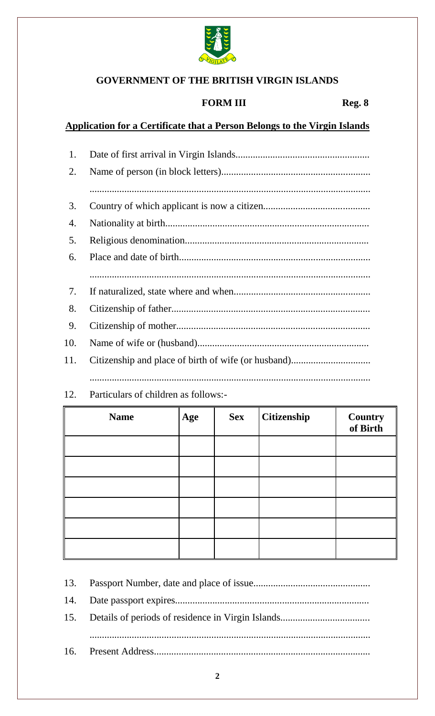

# **GOVERNMENT OF THE BRITISH VIRGIN ISLANDS**

#### **FORM III** Reg. 8

## Application for a Certificate that a Person Belongs to the Virgin Islands

| 1.  |  |
|-----|--|
| 2.  |  |
|     |  |
| 3.  |  |
| 4.  |  |
| 5.  |  |
| 6.  |  |
|     |  |
| 7.  |  |
| 8.  |  |
| 9.  |  |
| 10. |  |
| 11. |  |
|     |  |

#### 12. Particulars of children as follows:-

| <b>Name</b> | Age | <b>Sex</b> | <b>Citizenship</b> | <b>Country</b><br>of Birth |
|-------------|-----|------------|--------------------|----------------------------|
|             |     |            |                    |                            |
|             |     |            |                    |                            |
|             |     |            |                    |                            |
|             |     |            |                    |                            |
|             |     |            |                    |                            |
|             |     |            |                    |                            |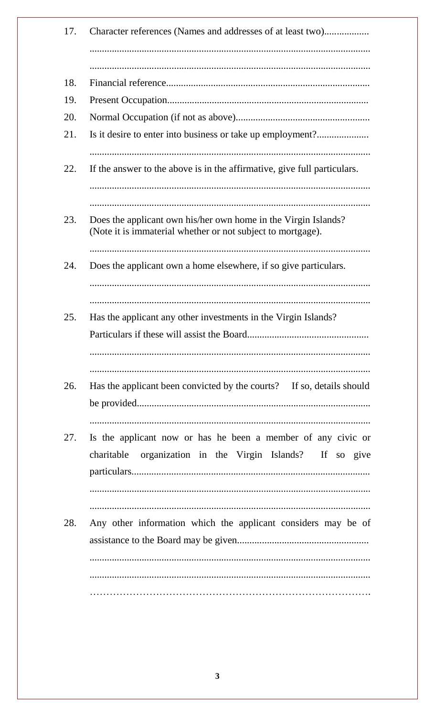| Character references (Names and addresses of at least two)                                                                    |
|-------------------------------------------------------------------------------------------------------------------------------|
|                                                                                                                               |
|                                                                                                                               |
|                                                                                                                               |
|                                                                                                                               |
| Is it desire to enter into business or take up employment?                                                                    |
| If the answer to the above is in the affirmative, give full particulars.                                                      |
| Does the applicant own his/her own home in the Virgin Islands?<br>(Note it is immaterial whether or not subject to mortgage). |
| Does the applicant own a home elsewhere, if so give particulars.                                                              |
| Has the applicant any other investments in the Virgin Islands?<br>Particulars if these will assist the Board                  |
| Has the applicant been convicted by the courts? If so, details should                                                         |
| Is the applicant now or has he been a member of any civic or<br>organization in the Virgin Islands? If so give<br>charitable  |
|                                                                                                                               |
|                                                                                                                               |
| Any other information which the applicant considers may be of                                                                 |
|                                                                                                                               |
|                                                                                                                               |
|                                                                                                                               |
|                                                                                                                               |